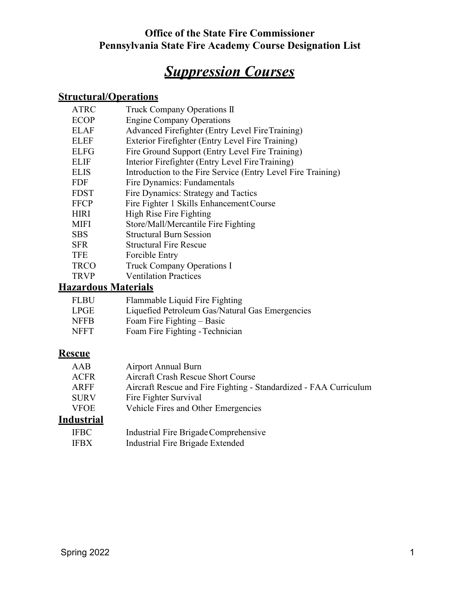# *Suppression Courses*

## **Structural/Operations**

| <b>ATRC</b> | Truck Company Operations II                                  |
|-------------|--------------------------------------------------------------|
| <b>ECOP</b> | <b>Engine Company Operations</b>                             |
| <b>ELAF</b> | Advanced Firefighter (Entry Level FireTraining)              |
| <b>ELEF</b> | Exterior Firefighter (Entry Level Fire Training)             |
| <b>ELFG</b> | Fire Ground Support (Entry Level Fire Training)              |
| <b>ELIF</b> | Interior Firefighter (Entry Level Fire Training)             |
| <b>ELIS</b> | Introduction to the Fire Service (Entry Level Fire Training) |
| <b>FDF</b>  | Fire Dynamics: Fundamentals                                  |
| <b>FDST</b> | Fire Dynamics: Strategy and Tactics                          |
| <b>FFCP</b> | Fire Fighter 1 Skills Enhancement Course                     |
| <b>HIRI</b> | High Rise Fire Fighting                                      |
| <b>MIFI</b> | Store/Mall/Mercantile Fire Fighting                          |
| <b>SBS</b>  | <b>Structural Burn Session</b>                               |
| <b>SFR</b>  | <b>Structural Fire Rescue</b>                                |
| <b>TFE</b>  | Forcible Entry                                               |
| <b>TRCO</b> | <b>Truck Company Operations I</b>                            |
| <b>TRVP</b> | <b>Ventilation Practices</b>                                 |

# **Hazardous Materials**

| <b>FLBU</b> | Flammable Liquid Fire Fighting                  |
|-------------|-------------------------------------------------|
| <b>LPGE</b> | Liquefied Petroleum Gas/Natural Gas Emergencies |
| <b>NFFB</b> | Foam Fire Fighting – Basic                      |
| <b>NFFT</b> | Foam Fire Fighting - Technician                 |

# **Rescue**

| AAB         | <b>Airport Annual Burn</b>                                        |
|-------------|-------------------------------------------------------------------|
| <b>ACFR</b> | Aircraft Crash Rescue Short Course                                |
| ARFF        | Aircraft Rescue and Fire Fighting - Standardized - FAA Curriculum |
| <b>SURV</b> | Fire Fighter Survival                                             |
| <b>VFOE</b> | Vehicle Fires and Other Emergencies                               |
| .           |                                                                   |

## **Industrial**

| <b>IFBC</b> | Industrial Fire Brigade Comprehensive |
|-------------|---------------------------------------|
| <b>IFBX</b> | Industrial Fire Brigade Extended      |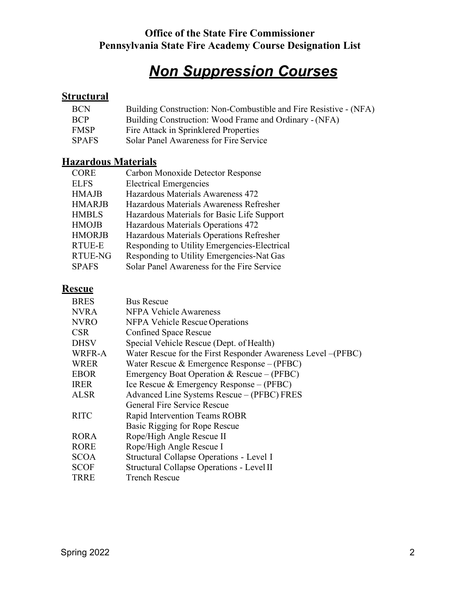# *Non Suppression Courses*

## **Structural**

| <b>BCN</b>   | Building Construction: Non-Combustible and Fire Resistive - (NFA) |
|--------------|-------------------------------------------------------------------|
| <b>BCP</b>   | Building Construction: Wood Frame and Ordinary - (NFA)            |
| <b>FMSP</b>  | Fire Attack in Sprinklered Properties                             |
| <b>SPAFS</b> | Solar Panel Awareness for Fire Service                            |

## **Hazardous Materials**

| <b>CORE</b>    | Carbon Monoxide Detector Response            |
|----------------|----------------------------------------------|
| <b>ELFS</b>    | <b>Electrical Emergencies</b>                |
| <b>HMAJB</b>   | Hazardous Materials Awareness 472            |
| <b>HMARJB</b>  | Hazardous Materials Awareness Refresher      |
| <b>HMBLS</b>   | Hazardous Materials for Basic Life Support   |
| <b>HMOJB</b>   | Hazardous Materials Operations 472           |
| <b>HMORJB</b>  | Hazardous Materials Operations Refresher     |
| <b>RTUE-E</b>  | Responding to Utility Emergencies-Electrical |
| <b>RTUE-NG</b> | Responding to Utility Emergencies-Nat Gas    |
| <b>SPAFS</b>   | Solar Panel Awareness for the Fire Service   |

## **Rescue**

| <b>BRES</b> | <b>Bus Rescue</b>                                             |
|-------------|---------------------------------------------------------------|
| <b>NVRA</b> | <b>NFPA Vehicle Awareness</b>                                 |
| <b>NVRO</b> | <b>NFPA Vehicle Rescue Operations</b>                         |
| <b>CSR</b>  | <b>Confined Space Rescue</b>                                  |
| <b>DHSV</b> | Special Vehicle Rescue (Dept. of Health)                      |
| WRFR-A      | Water Rescue for the First Responder Awareness Level – (PFBC) |
| <b>WRER</b> | Water Rescue & Emergence Response - (PFBC)                    |
| <b>EBOR</b> | Emergency Boat Operation & Rescue $-(PFBC)$                   |
| <b>IRER</b> | Ice Rescue & Emergency Response $-(PFBC)$                     |
| <b>ALSR</b> | Advanced Line Systems Rescue - (PFBC) FRES                    |
|             | General Fire Service Rescue                                   |
| <b>RITC</b> | Rapid Intervention Teams ROBR                                 |
|             | Basic Rigging for Rope Rescue                                 |
| <b>RORA</b> | Rope/High Angle Rescue II                                     |
| <b>RORE</b> | Rope/High Angle Rescue I                                      |
| <b>SCOA</b> | Structural Collapse Operations - Level I                      |
| SCOF        | Structural Collapse Operations - Level II                     |
| <b>TRRE</b> | <b>Trench Rescue</b>                                          |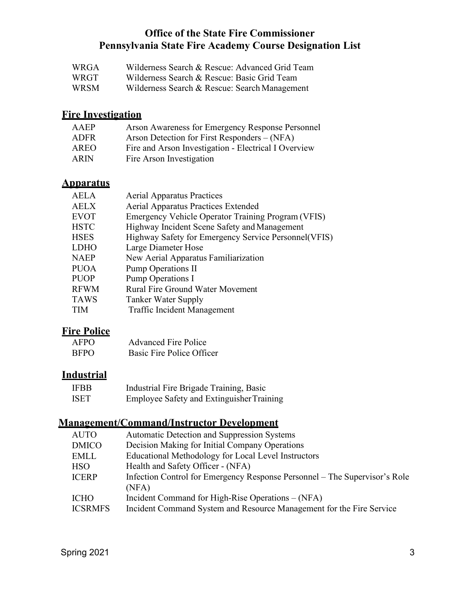- WRGA Wilderness Search & Rescue: Advanced Grid Team
- WRGT Wilderness Search & Rescue: Basic Grid Team
- WRSM Wilderness Search & Rescue: Search Management

## **Fire Investigation**

| Arson Awareness for Emergency Response Personnel     |
|------------------------------------------------------|
| Arson Detection for First Responders – (NFA)         |
| Fire and Arson Investigation - Electrical I Overview |
| Fire Arson Investigation                             |
|                                                      |

#### **Apparatus**

| <b>Aerial Apparatus Practices</b>                     |
|-------------------------------------------------------|
| <b>Aerial Apparatus Practices Extended</b>            |
| Emergency Vehicle Operator Training Program (VFIS)    |
| Highway Incident Scene Safety and Management          |
| Highway Safety for Emergency Service Personnel (VFIS) |
| Large Diameter Hose                                   |
| New Aerial Apparatus Familiarization                  |
| <b>Pump Operations II</b>                             |
| Pump Operations I                                     |
| <b>Rural Fire Ground Water Movement</b>               |
| Tanker Water Supply                                   |
| Traffic Incident Management                           |
|                                                       |

#### **Fire Police**

| <b>AFPO</b> | <b>Advanced Fire Police</b> |
|-------------|-----------------------------|
| <b>BFPO</b> | Basic Fire Police Officer   |

#### **Industrial**

IFBB Industrial Fire Brigade Training, Basic ISET Employee Safety and ExtinguisherTraining

#### **Management/Command/Instructor Development**

| <b>Automatic Detection and Suppression Systems</b>                         |
|----------------------------------------------------------------------------|
| Decision Making for Initial Company Operations                             |
| Educational Methodology for Local Level Instructors                        |
| Health and Safety Officer - (NFA)                                          |
| Infection Control for Emergency Response Personnel – The Supervisor's Role |
| (NFA)                                                                      |
| Incident Command for High-Rise Operations – (NFA)                          |
| Incident Command System and Resource Management for the Fire Service       |
|                                                                            |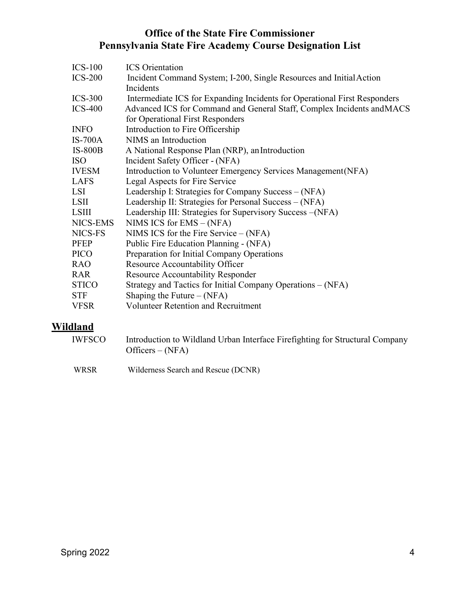| $ICS-100$      | <b>ICS</b> Orientation                                                    |
|----------------|---------------------------------------------------------------------------|
| $ICS-200$      | Incident Command System; I-200, Single Resources and Initial Action       |
|                | <b>Incidents</b>                                                          |
| $ICS-300$      | Intermediate ICS for Expanding Incidents for Operational First Responders |
| $ICS-400$      | Advanced ICS for Command and General Staff, Complex Incidents and MACS    |
|                | for Operational First Responders                                          |
| <b>INFO</b>    | Introduction to Fire Officership                                          |
| $IS-700A$      | NIMS an Introduction                                                      |
| <b>IS-800B</b> | A National Response Plan (NRP), an Introduction                           |
| <b>ISO</b>     | Incident Safety Officer - (NFA)                                           |
| <b>IVESM</b>   | Introduction to Volunteer Emergency Services Management (NFA)             |
| LAFS           | Legal Aspects for Fire Service                                            |
| LSI            | Leadership I: Strategies for Company Success - (NFA)                      |
| LSII           | Leadership II: Strategies for Personal Success - (NFA)                    |
| <b>LSIII</b>   | Leadership III: Strategies for Supervisory Success - (NFA)                |
| NICS-EMS       | NIMS ICS for $EMS - (NFA)$                                                |
| NICS-FS        | NIMS ICS for the Fire Service $-$ (NFA)                                   |
| <b>PFEP</b>    | Public Fire Education Planning - (NFA)                                    |
| <b>PICO</b>    | Preparation for Initial Company Operations                                |
| <b>RAO</b>     | Resource Accountability Officer                                           |
| <b>RAR</b>     | <b>Resource Accountability Responder</b>                                  |
| <b>STICO</b>   | Strategy and Tactics for Initial Company Operations – (NFA)               |
| <b>STF</b>     | Shaping the Future $-(NFA)$                                               |
| <b>VFSR</b>    | <b>Volunteer Retention and Recruitment</b>                                |
|                |                                                                           |

# **Wildland**

| IWFSCO      | Introduction to Wildland Urban Interface Firefighting for Structural Company<br>Officers $-(NFA)$ |
|-------------|---------------------------------------------------------------------------------------------------|
| <b>WRSR</b> | Wilderness Search and Rescue (DCNR)                                                               |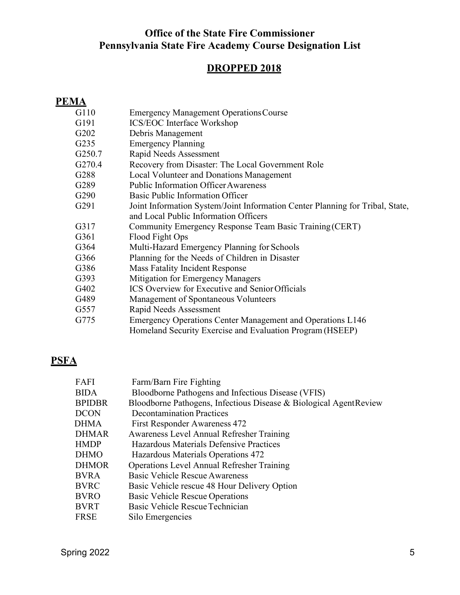#### **DROPPED 2018**

#### **PEMA**

- G110 Emergency Management Operations Course
- G191 ICS/EOC Interface Workshop
- G202 Debris Management
- G235 Emergency Planning
- G250.7 Rapid Needs Assessment
- G270.4 Recovery from Disaster: The Local Government Role
- G288 Local Volunteer and Donations Management
- G289 Public Information OfficerAwareness
- G290 Basic Public Information Officer
- G291 Joint Information System/Joint Information Center Planning for Tribal, State, and Local Public Information Officers
- G317 Community Emergency Response Team Basic Training (CERT)
- G361 Flood Fight Ops
- G364 Multi-Hazard Emergency Planning for Schools
- G366 Planning for the Needs of Children in Disaster
- G386 Mass Fatality Incident Response
- G393 Mitigation for Emergency Managers
- G402 ICS Overview for Executive and Senior Officials
- G489 Management of Spontaneous Volunteers
- G557 Rapid Needs Assessment
- G775 Emergency Operations Center Management and Operations L146 Homeland Security Exercise and Evaluation Program (HSEEP)

#### **PSFA**

| FAFI          | Farm/Barn Fire Fighting                                           |
|---------------|-------------------------------------------------------------------|
| <b>BIDA</b>   | Bloodborne Pathogens and Infectious Disease (VFIS)                |
| <b>BPIDBR</b> | Bloodborne Pathogens, Infectious Disease & Biological AgentReview |
| <b>DCON</b>   | <b>Decontamination Practices</b>                                  |
| DHMA          | <b>First Responder Awareness 472</b>                              |
| <b>DHMAR</b>  | <b>Awareness Level Annual Refresher Training</b>                  |
| <b>HMDP</b>   | Hazardous Materials Defensive Practices                           |
| <b>DHMO</b>   | Hazardous Materials Operations 472                                |
| <b>DHMOR</b>  | <b>Operations Level Annual Refresher Training</b>                 |
| <b>BVRA</b>   | <b>Basic Vehicle Rescue Awareness</b>                             |
| <b>BVRC</b>   | Basic Vehicle rescue 48 Hour Delivery Option                      |
| <b>BVRO</b>   | <b>Basic Vehicle Rescue Operations</b>                            |
| <b>BVRT</b>   | Basic Vehicle Rescue Technician                                   |
| <b>FRSE</b>   | Silo Emergencies                                                  |